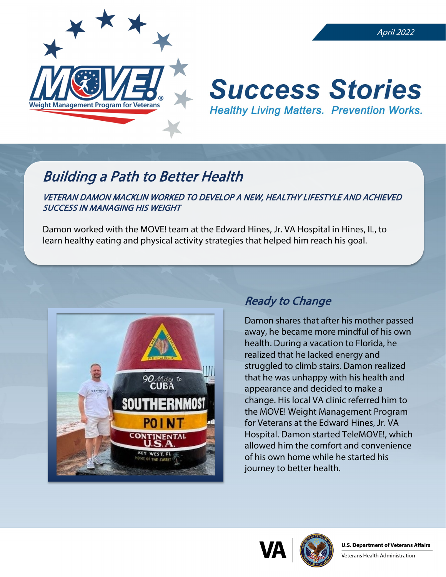

#### April 2022

# **Success Stories Healthy Living Matters. Prevention Works.**

## Building a Path to Better Health

VETERAN DAMON MACKLIN WORKED TO DEVELOP A NEW, HEALTHY LIFESTYLE AND ACHIEVED SUCCESS IN MANAGING HIS WEIGHT

Damon worked with the MOVE! team at the Edward Hines, Jr. VA Hospital in Hines, IL, to learn healthy eating and physical activity strategies that helped him reach his goal.



### Ready to Change

Damon shares that after his mother passed away, he became more mindful of his own health. During a vacation to Florida, he realized that he lacked energy and struggled to climb stairs. Damon realized that he was unhappy with his health and appearance and decided to make a change. His local VA clinic referred him to the MOVE! Weight Management Program for Veterans at the Edward Hines, Jr. VA Hospital. Damon started TeleMOVE!, which allowed him the comfort and convenience of his own home while he started his journey to better health.



Veterans Health Administration